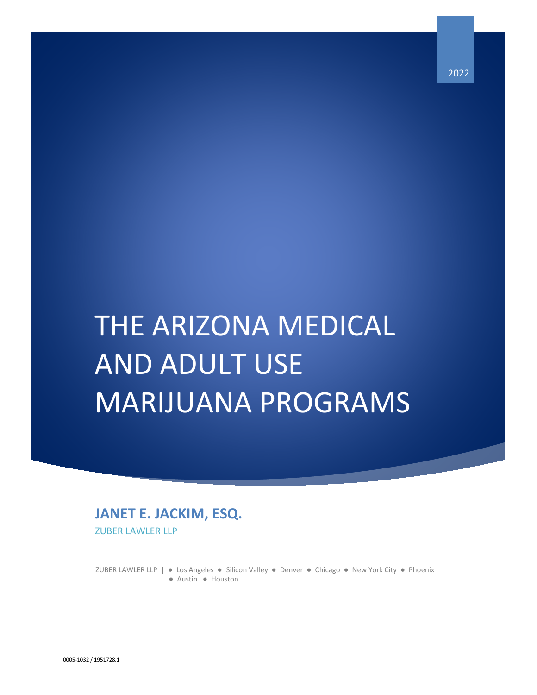# THE ARIZONA MEDICAL AND ADULT USE MARIJUANA PROGRAMS

# **JANET E. JACKIM, ESQ.** ZUBER LAWLER LLP

 ZUBER LAWLER LLP | ● Los Angeles ● Silicon Valley ● Denver ● Chicago ● New York City ● Phoenix ● Austin ● Houston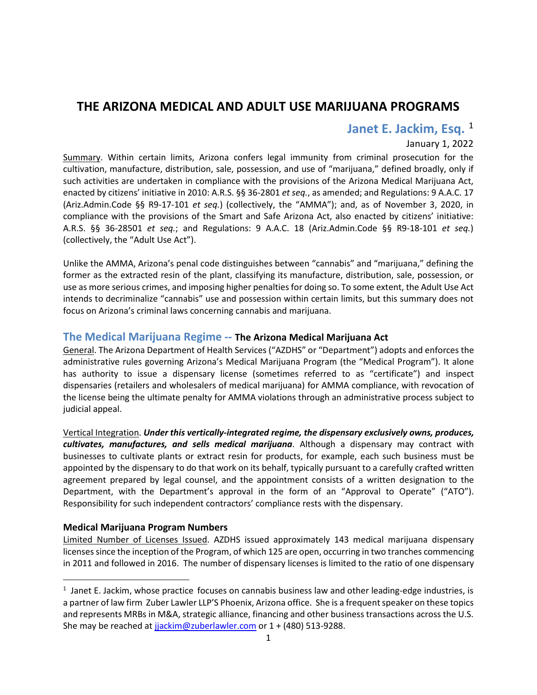# **THE ARIZONA MEDICAL AND ADULT USE MARIJUANA PROGRAMS**

# Janet E. Jackim, Esq. <sup>[1](#page-1-0)</sup>

# January 1, 2022

Summary. Within certain limits, Arizona confers legal immunity from criminal prosecution for the cultivation, manufacture, distribution, sale, possession, and use of "marijuana," defined broadly, only if such activities are undertaken in compliance with the provisions of the Arizona Medical Marijuana Act, enacted by citizens' initiative in 2010: A.R.S. §§ 36-2801 *et seq.*, as amended; and Regulations: 9 A.A.C. 17 (Ariz.Admin.Code §§ R9-17-101 *et seq.*) (collectively, the "AMMA"); and, as of November 3, 2020, in compliance with the provisions of the Smart and Safe Arizona Act, also enacted by citizens' initiative: A.R.S. §§ 36-28501 *et seq.*; and Regulations: 9 A.A.C. 18 (Ariz.Admin.Code §§ R9-18-101 *et seq.*) (collectively, the "Adult Use Act").

Unlike the AMMA, Arizona's penal code distinguishes between "cannabis" and "marijuana," defining the former as the extracted resin of the plant, classifying its manufacture, distribution, sale, possession, or use as more serious crimes, and imposing higher penalties for doing so. To some extent, the Adult Use Act intends to decriminalize "cannabis" use and possession within certain limits, but this summary does not focus on Arizona's criminal laws concerning cannabis and marijuana.

# **The Medical Marijuana Regime -- The Arizona Medical Marijuana Act**

General. The Arizona Department of Health Services ("AZDHS" or "Department") adopts and enforces the administrative rules governing Arizona's Medical Marijuana Program (the "Medical Program"). It alone has authority to issue a dispensary license (sometimes referred to as "certificate") and inspect dispensaries (retailers and wholesalers of medical marijuana) for AMMA compliance, with revocation of the license being the ultimate penalty for AMMA violations through an administrative process subject to judicial appeal.

Vertical Integration. *Under this vertically-integrated regime, the dispensary exclusively owns, produces, cultivates, manufactures, and sells medical marijuana*. Although a dispensary may contract with businesses to cultivate plants or extract resin for products, for example, each such business must be appointed by the dispensary to do that work on its behalf, typically pursuant to a carefully crafted written agreement prepared by legal counsel, and the appointment consists of a written designation to the Department, with the Department's approval in the form of an "Approval to Operate" ("ATO"). Responsibility for such independent contractors' compliance rests with the dispensary.

# **Medical Marijuana Program Numbers**

Limited Number of Licenses Issued. AZDHS issued approximately 143 medical marijuana dispensary licensessince the inception of the Program, of which 125 are open, occurring in two tranches commencing in 2011 and followed in 2016. The number of dispensary licenses is limited to the ratio of one dispensary

<span id="page-1-0"></span> $\overline{1}$  $<sup>1</sup>$  Janet E. Jackim, whose practice focuses on cannabis business law and other leading-edge industries, is</sup> a partner of law firm Zuber Lawler LLP'S Phoenix, Arizona office. She is a frequent speaker on these topics and represents MRBs in M&A, strategic alliance, financing and other business transactions across the U.S. She may be reached at jackim@zuberlawler.com or 1 + (480) 513-9288.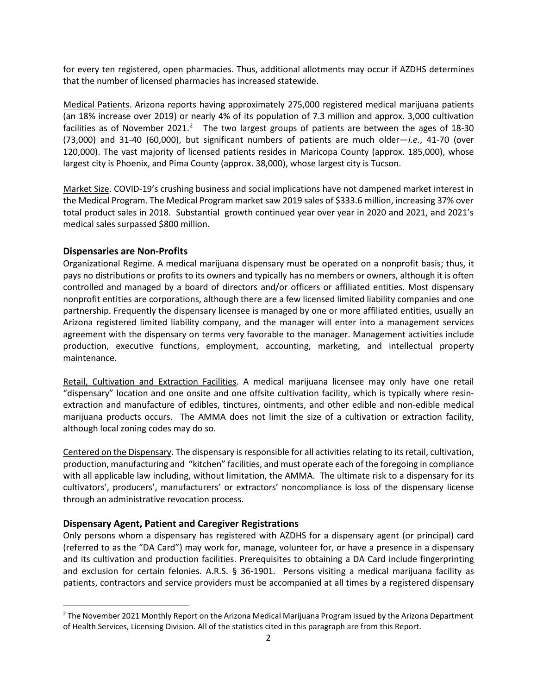for every ten registered, open pharmacies. Thus, additional allotments may occur if AZDHS determines that the number of licensed pharmacies has increased statewide.

Medical Patients. Arizona reports having approximately 275,000 registered medical marijuana patients (an 18% increase over 2019) or nearly 4% of its population of 7.3 million and approx. 3,000 cultivation facilities as of November [2](#page-2-0)021.<sup>2</sup> The two largest groups of patients are between the ages of 18-30 (73,000) and 31-40 (60,000), but significant numbers of patients are much older—*i.e.*, 41-70 (over 120,000). The vast majority of licensed patients resides in Maricopa County (approx. 185,000), whose largest city is Phoenix, and Pima County (approx. 38,000), whose largest city is Tucson.

Market Size. COVID-19's crushing business and social implications have not dampened market interest in the Medical Program. The Medical Program market saw 2019 sales of \$333.6 million, increasing 37% over total product sales in 2018. Substantial growth continued year over year in 2020 and 2021, and 2021's medical sales surpassed \$800 million.

# **Dispensaries are Non-Profits**

Organizational Regime. A medical marijuana dispensary must be operated on a nonprofit basis; thus, it pays no distributions or profits to its owners and typically has no members or owners, although it is often controlled and managed by a board of directors and/or officers or affiliated entities. Most dispensary nonprofit entities are corporations, although there are a few licensed limited liability companies and one partnership. Frequently the dispensary licensee is managed by one or more affiliated entities, usually an Arizona registered limited liability company, and the manager will enter into a management services agreement with the dispensary on terms very favorable to the manager. Management activities include production, executive functions, employment, accounting, marketing, and intellectual property maintenance.

Retail, Cultivation and Extraction Facilities. A medical marijuana licensee may only have one retail "dispensary" location and one onsite and one offsite cultivation facility, which is typically where resinextraction and manufacture of edibles, tinctures, ointments, and other edible and non-edible medical marijuana products occurs. The AMMA does not limit the size of a cultivation or extraction facility, although local zoning codes may do so.

Centered on the Dispensary. The dispensary is responsible for all activities relating to its retail, cultivation, production, manufacturing and "kitchen" facilities, and must operate each of the foregoing in compliance with all applicable law including, without limitation, the AMMA. The ultimate risk to a dispensary for its cultivators', producers', manufacturers' or extractors' noncompliance is loss of the dispensary license through an administrative revocation process.

# **Dispensary Agent, Patient and Caregiver Registrations**

Only persons whom a dispensary has registered with AZDHS for a dispensary agent (or principal) card (referred to as the "DA Card") may work for, manage, volunteer for, or have a presence in a dispensary and its cultivation and production facilities. Prerequisites to obtaining a DA Card include fingerprinting and exclusion for certain felonies. A.R.S. § 36-1901. Persons visiting a medical marijuana facility as patients, contractors and service providers must be accompanied at all times by a registered dispensary

<span id="page-2-0"></span><sup>&</sup>lt;sup>2</sup> The November 2021 Monthly Report on the Arizona Medical Marijuana Program issued by the Arizona Department of Health Services, Licensing Division. All of the statistics cited in this paragraph are from this Report.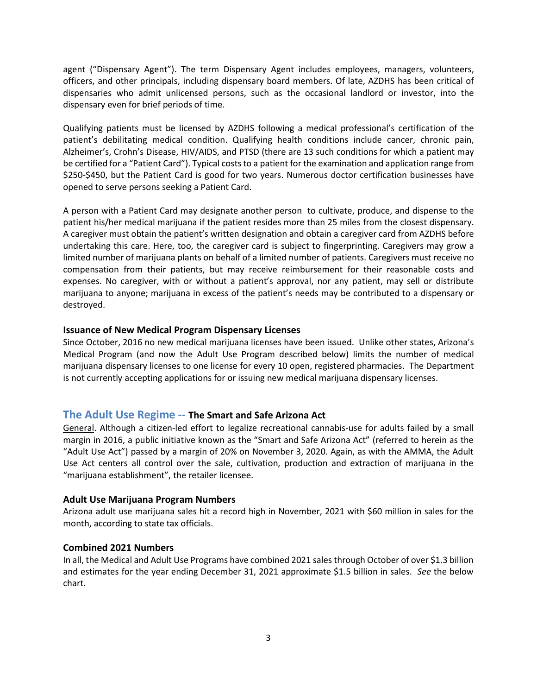agent ("Dispensary Agent"). The term Dispensary Agent includes employees, managers, volunteers, officers, and other principals, including dispensary board members. Of late, AZDHS has been critical of dispensaries who admit unlicensed persons, such as the occasional landlord or investor, into the dispensary even for brief periods of time.

Qualifying patients must be licensed by AZDHS following a medical professional's certification of the patient's debilitating medical condition. Qualifying health conditions include cancer, chronic pain, Alzheimer's, Crohn's Disease, HIV/AIDS, and PTSD (there are 13 such conditions for which a patient may be certified for a "Patient Card"). Typical costs to a patient for the examination and application range from \$250-\$450, but the Patient Card is good for two years. Numerous doctor certification businesses have opened to serve persons seeking a Patient Card.

A person with a Patient Card may designate another person to cultivate, produce, and dispense to the patient his/her medical marijuana if the patient resides more than 25 miles from the closest dispensary. A caregiver must obtain the patient's written designation and obtain a caregiver card from AZDHS before undertaking this care. Here, too, the caregiver card is subject to fingerprinting. Caregivers may grow a limited number of marijuana plants on behalf of a limited number of patients. Caregivers must receive no compensation from their patients, but may receive reimbursement for their reasonable costs and expenses. No caregiver, with or without a patient's approval, nor any patient, may sell or distribute marijuana to anyone; marijuana in excess of the patient's needs may be contributed to a dispensary or destroyed.

# **Issuance of New Medical Program Dispensary Licenses**

Since October, 2016 no new medical marijuana licenses have been issued. Unlike other states, Arizona's Medical Program (and now the Adult Use Program described below) limits the number of medical marijuana dispensary licenses to one license for every 10 open, registered pharmacies. The Department is not currently accepting applications for or issuing new medical marijuana dispensary licenses.

# **The Adult Use Regime -- The Smart and Safe Arizona Act**

General. Although a citizen-led effort to legalize recreational cannabis-use for adults failed by a small margin in 2016, a public initiative known as the "Smart and Safe Arizona Act" (referred to herein as the "Adult Use Act") passed by a margin of 20% on November 3, 2020. Again, as with the AMMA, the Adult Use Act centers all control over the sale, cultivation, production and extraction of marijuana in the "marijuana establishment", the retailer licensee.

# **Adult Use Marijuana Program Numbers**

Arizona adult use marijuana sales hit a record high in November, 2021 with \$60 million in sales for the month, according to state tax officials.

#### **Combined 2021 Numbers**

In all, the Medical and Adult Use Programs have combined 2021 sales through October of over \$1.3 billion and estimates for the year ending December 31, 2021 approximate \$1.5 billion in sales. *See* the below chart.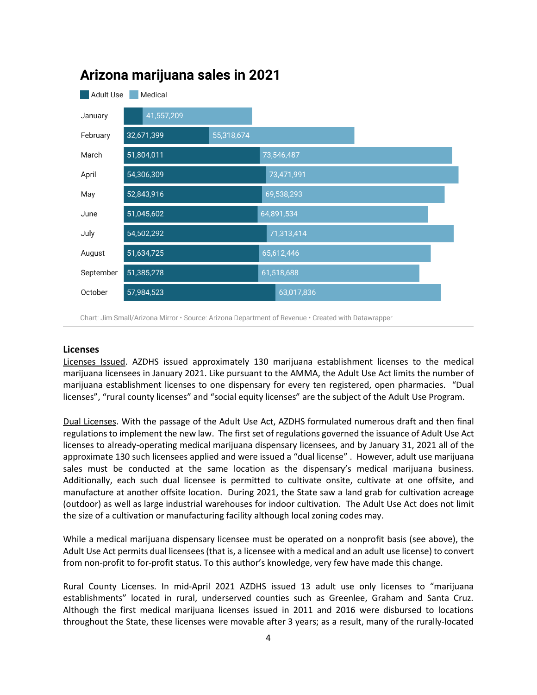

# Arizona marijuana sales in 2021

Chart: Jim Small/Arizona Mirror · Source: Arizona Department of Revenue · Created with Datawrapper

# **Licenses**

Licenses Issued. AZDHS issued approximately 130 marijuana establishment licenses to the medical marijuana licensees in January 2021. Like pursuant to the AMMA, the Adult Use Act limits the number of marijuana establishment licenses to one dispensary for every ten registered, open pharmacies. "Dual licenses", "rural county licenses" and "social equity licenses" are the subject of the Adult Use Program.

Dual Licenses. With the passage of the Adult Use Act, AZDHS formulated numerous draft and then final regulations to implement the new law. The first set of regulations governed the issuance of Adult Use Act licenses to already-operating medical marijuana dispensary licensees, and by January 31, 2021 all of the approximate 130 such licensees applied and were issued a "dual license" . However, adult use marijuana sales must be conducted at the same location as the dispensary's medical marijuana business. Additionally, each such dual licensee is permitted to cultivate onsite, cultivate at one offsite, and manufacture at another offsite location. During 2021, the State saw a land grab for cultivation acreage (outdoor) as well as large industrial warehouses for indoor cultivation. The Adult Use Act does not limit the size of a cultivation or manufacturing facility although local zoning codes may.

While a medical marijuana dispensary licensee must be operated on a nonprofit basis (see above), the Adult Use Act permits dual licensees (that is, a licensee with a medical and an adult use license) to convert from non-profit to for-profit status. To this author's knowledge, very few have made this change.

Rural County Licenses. In mid-April 2021 AZDHS issued 13 adult use only licenses to "marijuana establishments" located in rural, underserved counties such as Greenlee, Graham and Santa Cruz. Although the first medical marijuana licenses issued in 2011 and 2016 were disbursed to locations throughout the State, these licenses were movable after 3 years; as a result, many of the rurally-located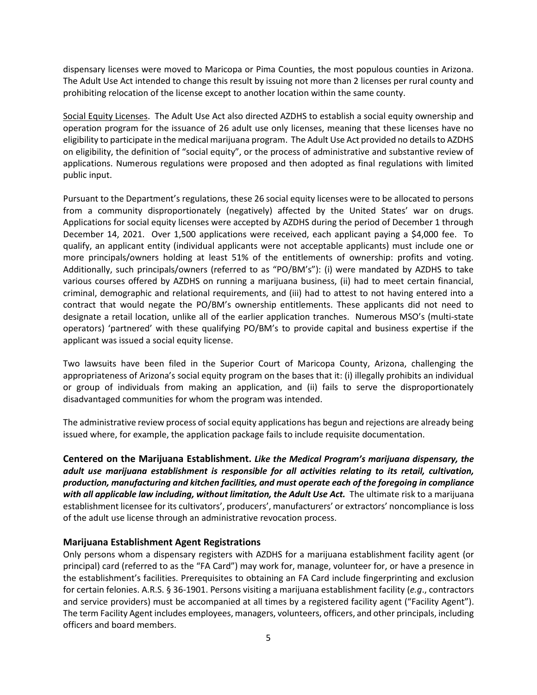dispensary licenses were moved to Maricopa or Pima Counties, the most populous counties in Arizona. The Adult Use Act intended to change this result by issuing not more than 2 licenses per rural county and prohibiting relocation of the license except to another location within the same county.

Social Equity Licenses. The Adult Use Act also directed AZDHS to establish a social equity ownership and operation program for the issuance of 26 adult use only licenses, meaning that these licenses have no eligibility to participate in the medical marijuana program. The Adult Use Act provided no details to AZDHS on eligibility, the definition of "social equity", or the process of administrative and substantive review of applications. Numerous regulations were proposed and then adopted as final regulations with limited public input.

Pursuant to the Department's regulations, these 26 social equity licenses were to be allocated to persons from a community disproportionately (negatively) affected by the United States' war on drugs. Applications for social equity licenses were accepted by AZDHS during the period of December 1 through December 14, 2021. Over 1,500 applications were received, each applicant paying a \$4,000 fee. To qualify, an applicant entity (individual applicants were not acceptable applicants) must include one or more principals/owners holding at least 51% of the entitlements of ownership: profits and voting. Additionally, such principals/owners (referred to as "PO/BM's"): (i) were mandated by AZDHS to take various courses offered by AZDHS on running a marijuana business, (ii) had to meet certain financial, criminal, demographic and relational requirements, and (iii) had to attest to not having entered into a contract that would negate the PO/BM's ownership entitlements. These applicants did not need to designate a retail location, unlike all of the earlier application tranches. Numerous MSO's (multi-state operators) 'partnered' with these qualifying PO/BM's to provide capital and business expertise if the applicant was issued a social equity license.

Two lawsuits have been filed in the Superior Court of Maricopa County, Arizona, challenging the appropriateness of Arizona's social equity program on the bases that it: (i) illegally prohibits an individual or group of individuals from making an application, and (ii) fails to serve the disproportionately disadvantaged communities for whom the program was intended.

The administrative review process of social equity applications has begun and rejections are already being issued where, for example, the application package fails to include requisite documentation.

**Centered on the Marijuana Establishment.** *Like the Medical Program's marijuana dispensary, the adult use marijuana establishment is responsible for all activities relating to its retail, cultivation, production, manufacturing and kitchen facilities, and must operate each of the foregoing in compliance*  with all applicable law including, without limitation, the Adult Use Act. The ultimate risk to a marijuana establishment licensee for its cultivators', producers', manufacturers' or extractors' noncompliance is loss of the adult use license through an administrative revocation process.

# **Marijuana Establishment Agent Registrations**

Only persons whom a dispensary registers with AZDHS for a marijuana establishment facility agent (or principal) card (referred to as the "FA Card") may work for, manage, volunteer for, or have a presence in the establishment's facilities. Prerequisites to obtaining an FA Card include fingerprinting and exclusion for certain felonies. A.R.S. § 36-1901. Persons visiting a marijuana establishment facility (*e.g*., contractors and service providers) must be accompanied at all times by a registered facility agent ("Facility Agent"). The term Facility Agent includes employees, managers, volunteers, officers, and other principals, including officers and board members.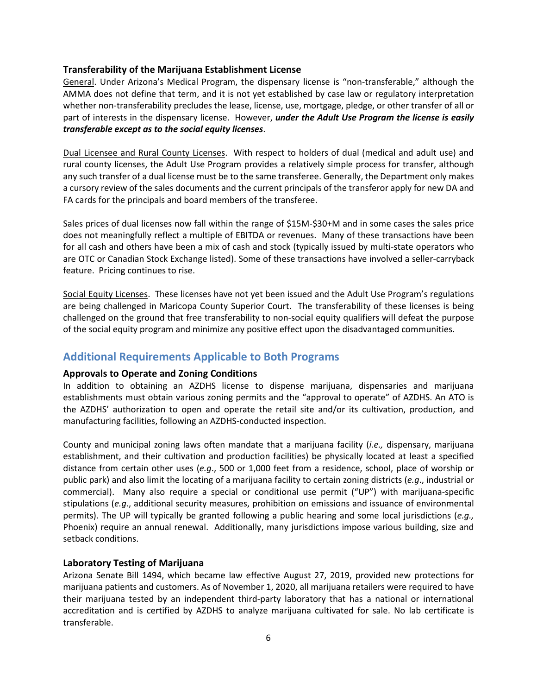#### **Transferability of the Marijuana Establishment License**

General. Under Arizona's Medical Program, the dispensary license is "non-transferable," although the AMMA does not define that term, and it is not yet established by case law or regulatory interpretation whether non-transferability precludes the lease, license, use, mortgage, pledge, or other transfer of all or part of interests in the dispensary license. However, *under the Adult Use Program the license is easily transferable except as to the social equity licenses*.

Dual Licensee and Rural County Licenses. With respect to holders of dual (medical and adult use) and rural county licenses, the Adult Use Program provides a relatively simple process for transfer, although any such transfer of a dual license must be to the same transferee. Generally, the Department only makes a cursory review of the sales documents and the current principals of the transferor apply for new DA and FA cards for the principals and board members of the transferee.

Sales prices of dual licenses now fall within the range of \$15M-\$30+M and in some cases the sales price does not meaningfully reflect a multiple of EBITDA or revenues. Many of these transactions have been for all cash and others have been a mix of cash and stock (typically issued by multi-state operators who are OTC or Canadian Stock Exchange listed). Some of these transactions have involved a seller-carryback feature. Pricing continues to rise.

Social Equity Licenses. These licenses have not yet been issued and the Adult Use Program's regulations are being challenged in Maricopa County Superior Court. The transferability of these licenses is being challenged on the ground that free transferability to non-social equity qualifiers will defeat the purpose of the social equity program and minimize any positive effect upon the disadvantaged communities.

# **Additional Requirements Applicable to Both Programs**

# **Approvals to Operate and Zoning Conditions**

In addition to obtaining an AZDHS license to dispense marijuana, dispensaries and marijuana establishments must obtain various zoning permits and the "approval to operate" of AZDHS. An ATO is the AZDHS' authorization to open and operate the retail site and/or its cultivation, production, and manufacturing facilities, following an AZDHS-conducted inspection.

County and municipal zoning laws often mandate that a marijuana facility (*i.e.,* dispensary, marijuana establishment, and their cultivation and production facilities) be physically located at least a specified distance from certain other uses (*e.g*., 500 or 1,000 feet from a residence, school, place of worship or public park) and also limit the locating of a marijuana facility to certain zoning districts (*e.g*., industrial or commercial). Many also require a special or conditional use permit ("UP") with marijuana-specific stipulations (*e.g*., additional security measures, prohibition on emissions and issuance of environmental permits). The UP will typically be granted following a public hearing and some local jurisdictions (*e.g.,*  Phoenix) require an annual renewal. Additionally, many jurisdictions impose various building, size and setback conditions.

# **Laboratory Testing of Marijuana**

Arizona Senate Bill 1494, which became law effective August 27, 2019, provided new protections for marijuana patients and customers. As of November 1, 2020, all marijuana retailers were required to have their marijuana tested by an independent third-party laboratory that has a national or international accreditation and is certified by AZDHS to analyze marijuana cultivated for sale. No lab certificate is transferable.